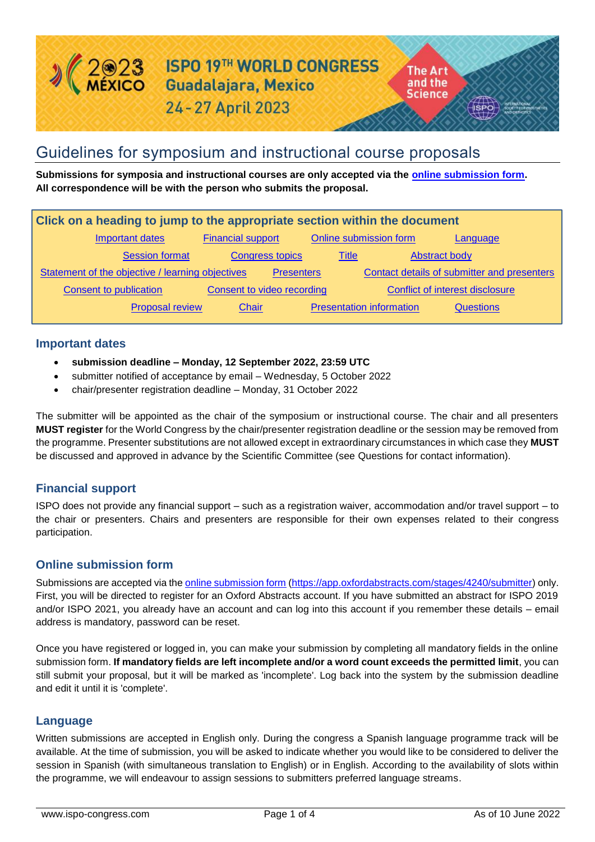

# Guidelines for symposium and instructional course proposals

**Submissions for symposia and instructional courses are only accepted via the [online submission form.](https://app.oxfordabstracts.com/stages/4240/submitter) All correspondence will be with the person who submits the proposal.** 

| Click on a heading to jump to the appropriate section within the document                                            |                        |                            |              |                                        |                      |
|----------------------------------------------------------------------------------------------------------------------|------------------------|----------------------------|--------------|----------------------------------------|----------------------|
|                                                                                                                      | <b>Important dates</b> | <b>Financial support</b>   |              | Online submission form                 | Language             |
|                                                                                                                      | <b>Session format</b>  | <b>Congress topics</b>     | <b>Title</b> |                                        | <b>Abstract body</b> |
| Statement of the objective / learning objectives<br>Contact details of submitter and presenters<br><b>Presenters</b> |                        |                            |              |                                        |                      |
| Consent to publication                                                                                               |                        | Consent to video recording |              | <b>Conflict of interest disclosure</b> |                      |
|                                                                                                                      | <b>Proposal review</b> | Chair                      |              | <b>Presentation information</b>        | <b>Questions</b>     |

#### <span id="page-0-0"></span>**Important dates**

- **submission deadline – Monday, 12 September 2022, 23:59 UTC**
- submitter notified of acceptance by email Wednesday, 5 October 2022
- chair/presenter registration deadline Monday, 31 October 2022

The submitter will be appointed as the chair of the symposium or instructional course. The chair and all presenters **MUST register** for the World Congress by the chair/presenter registration deadline or the session may be removed from the programme. Presenter substitutions are not allowed except in extraordinary circumstances in which case they **MUST** be discussed and approved in advance by the Scientific Committee (see [Questions](#page-3-1) for contact information).

# <span id="page-0-1"></span>**Financial support**

ISPO does not provide any financial support – such as a registration waiver, accommodation and/or travel support – to the chair or presenters. Chairs and presenters are responsible for their own expenses related to their congress participation.

#### <span id="page-0-2"></span>**Online submission form**

Submissions are accepted via the *online submission form [\(https://app.oxfordabstracts.com/stages/4240/submitter\)](https://app.oxfordabstracts.com/stages/4240/submitter)* only. First, you will be directed to register for an Oxford Abstracts account. If you have submitted an abstract for ISPO 2019 and/or ISPO 2021, you already have an account and can log into this account if you remember these details – email address is mandatory, password can be reset.

Once you have registered or logged in, you can make your submission by completing all mandatory fields in the online submission form. **If mandatory fields are left incomplete and/or a word count exceeds the permitted limit**, you can still submit your proposal, but it will be marked as 'incomplete'. Log back into the system by the submission deadline and edit it until it is 'complete'.

#### **Language**

Written submissions are accepted in English only. During the congress a Spanish language programme track will be available. At the time of submission, you will be asked to indicate whether you would like to be considered to deliver the session in Spanish (with simultaneous translation to English) or in English. According to the availability of slots within the programme, we will endeavour to assign sessions to submitters preferred language streams.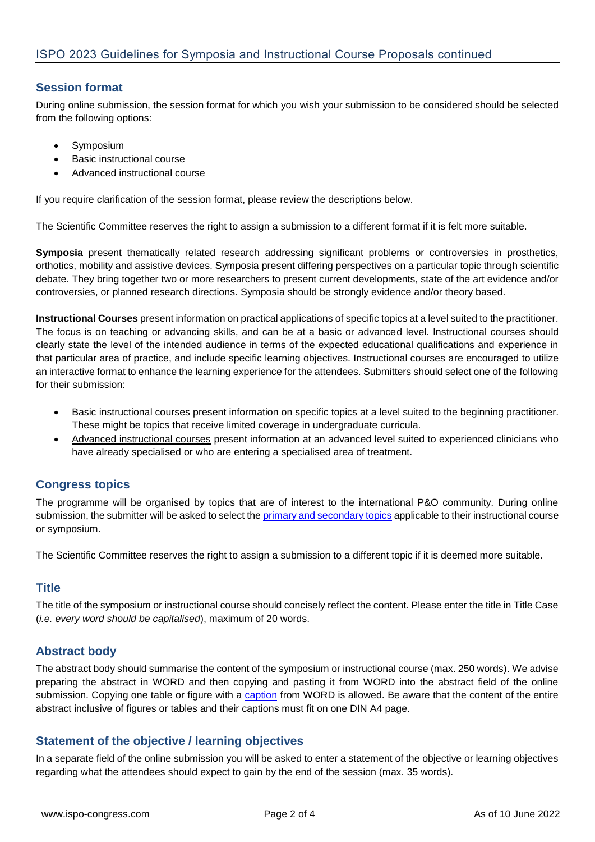# <span id="page-1-0"></span>**Session format**

During online submission, the session format for which you wish your submission to be considered should be selected from the following options:

- **Symposium**
- **Basic instructional course**
- Advanced instructional course

If you require clarification of the session format, please review the descriptions below.

The Scientific Committee reserves the right to assign a submission to a different format if it is felt more suitable.

**Symposia** present thematically related research addressing significant problems or controversies in prosthetics, orthotics, mobility and assistive devices. Symposia present differing perspectives on a particular topic through scientific debate. They bring together two or more researchers to present current developments, state of the art evidence and/or controversies, or planned research directions. Symposia should be strongly evidence and/or theory based.

**Instructional Courses** present information on practical applications of specific topics at a level suited to the practitioner. The focus is on teaching or advancing skills, and can be at a basic or advanced level. Instructional courses should clearly state the level of the intended audience in terms of the expected educational qualifications and experience in that particular area of practice, and include specific learning objectives. Instructional courses are encouraged to utilize an interactive format to enhance the learning experience for the attendees. Submitters should select one of the following for their submission:

- Basic instructional courses present information on specific topics at a level suited to the beginning practitioner. These might be topics that receive limited coverage in undergraduate curricula.
- Advanced instructional courses present information at an advanced level suited to experienced clinicians who have already specialised or who are entering a specialised area of treatment.

# <span id="page-1-1"></span>**Congress topics**

The programme will be organised by topics that are of interest to the international P&O community. During online submission, the submitter will be asked to select th[e primary and secondary topics](https://www.ispo-congress.com/en/about/event-profile/congress-topics/) applicable to their instructional course or symposium.

<span id="page-1-2"></span>The Scientific Committee reserves the right to assign a submission to a different topic if it is deemed more suitable.

#### **Title**

The title of the symposium or instructional course should concisely reflect the content. Please enter the title in Title Case (*i.e. every word should be capitalised*), maximum of 20 words.

# <span id="page-1-3"></span>**Abstract body**

The abstract body should summarise the content of the symposium or instructional course (max. 250 words). We advise preparing the abstract in WORD and then copying and pasting it from WORD into the abstract field of the online submission. Copying one table or figure with a [caption](https://support.office.com/en-us/article/add-format-or-delete-captions-in-word-82fa82a4-f0f3-438f-a422-34bb5cef9c81) from WORD is allowed. Be aware that the content of the entire abstract inclusive of figures or tables and their captions must fit on one DIN A4 page.

# <span id="page-1-4"></span>**Statement of the objective / learning objectives**

<span id="page-1-5"></span>In a separate field of the online submission you will be asked to enter a statement of the objective or learning objectives regarding what the attendees should expect to gain by the end of the session (max. 35 words).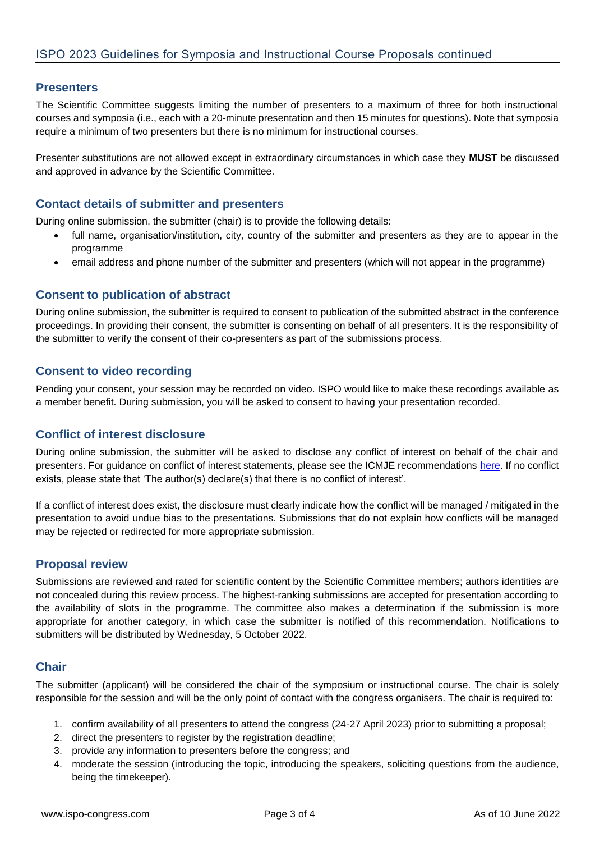### **Presenters**

The Scientific Committee suggests limiting the number of presenters to a maximum of three for both instructional courses and symposia (i.e., each with a 20-minute presentation and then 15 minutes for questions). Note that symposia require a minimum of two presenters but there is no minimum for instructional courses.

Presenter substitutions are not allowed except in extraordinary circumstances in which case they **MUST** be discussed and approved in advance by the Scientific Committee.

## **Contact details of submitter and presenters**

During online submission, the submitter (chair) is to provide the following details:

- <span id="page-2-0"></span>full name, organisation/institution, city, country of the submitter and presenters as they are to appear in the programme
- email address and phone number of the submitter and presenters (which will not appear in the programme)

#### <span id="page-2-1"></span>**Consent to publication of abstract**

During online submission, the submitter is required to consent to publication of the submitted abstract in the conference proceedings. In providing their consent, the submitter is consenting on behalf of all presenters. It is the responsibility of the submitter to verify the consent of their co-presenters as part of the submissions process.

#### <span id="page-2-2"></span>**Consent to video recording**

Pending your consent, your session may be recorded on video. ISPO would like to make these recordings available as a member benefit. During submission, you will be asked to consent to having your presentation recorded.

### **Conflict of interest disclosure**

During online submission, the submitter will be asked to disclose any conflict of interest on behalf of the chair and presenters. For guidance on conflict of interest statements, please see the ICMJE recommendations [here.](http://www.icmje.org/recommendations/browse/roles-and-responsibilities/author-responsibilities--conflicts-of-interest.html) If no conflict exists, please state that 'The author(s) declare(s) that there is no conflict of interest'.

If a conflict of interest does exist, the disclosure must clearly indicate how the conflict will be managed / mitigated in the presentation to avoid undue bias to the presentations. Submissions that do not explain how conflicts will be managed may be rejected or redirected for more appropriate submission.

#### <span id="page-2-3"></span>**Proposal review**

Submissions are reviewed and rated for scientific content by the Scientific Committee members; authors identities are not concealed during this review process. The highest-ranking submissions are accepted for presentation according to the availability of slots in the programme. The committee also makes a determination if the submission is more appropriate for another category, in which case the submitter is notified of this recommendation. Notifications to submitters will be distributed by Wednesday, 5 October 2022.

#### **Chair**

The submitter (applicant) will be considered the chair of the symposium or instructional course. The chair is solely responsible for the session and will be the only point of contact with the congress organisers. The chair is required to:

- 1. confirm availability of all presenters to attend the congress (24-27 April 2023) prior to submitting a proposal;
- 2. direct the presenters to register by the registration deadline;
- 3. provide any information to presenters before the congress; and
- 4. moderate the session (introducing the topic, introducing the speakers, soliciting questions from the audience, being the timekeeper).